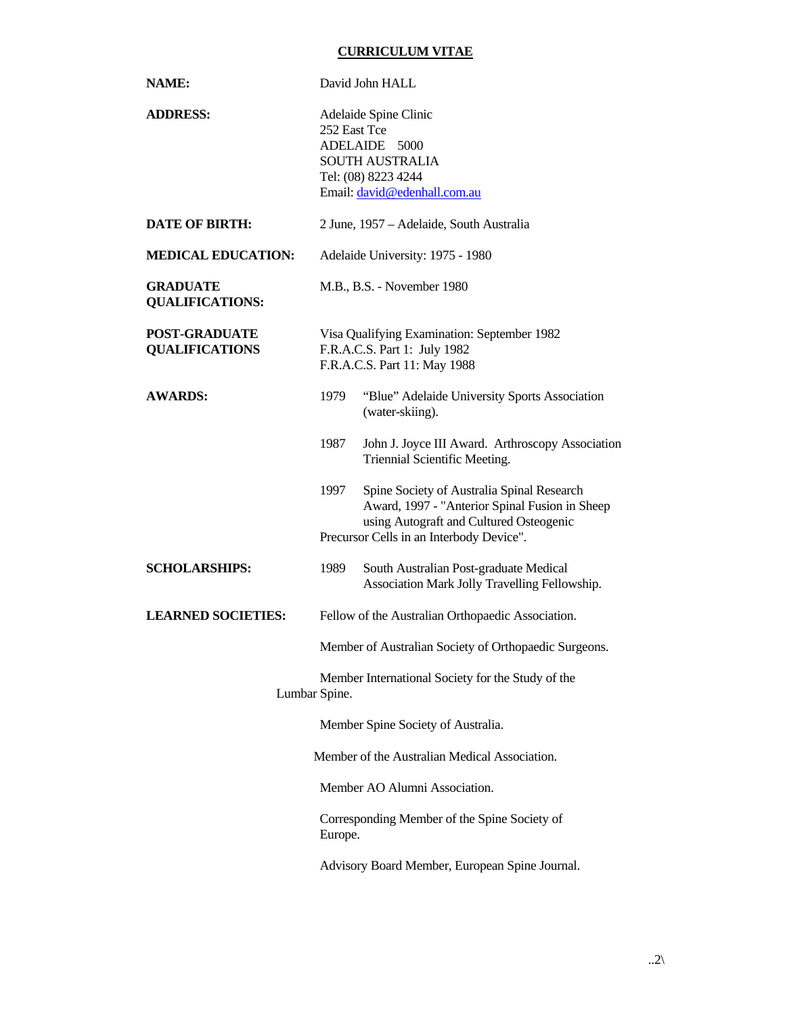## **CURRICULUM VITAE**

| NAME:                                         | David John HALL                                                                                                                                                                             |
|-----------------------------------------------|---------------------------------------------------------------------------------------------------------------------------------------------------------------------------------------------|
| <b>ADDRESS:</b>                               | Adelaide Spine Clinic<br>252 East Tce<br>ADELAIDE 5000<br><b>SOUTH AUSTRALIA</b><br>Tel: (08) 8223 4244<br>Email: david@edenhall.com.au                                                     |
| <b>DATE OF BIRTH:</b>                         | 2 June, 1957 – Adelaide, South Australia                                                                                                                                                    |
| <b>MEDICAL EDUCATION:</b>                     | Adelaide University: 1975 - 1980                                                                                                                                                            |
| <b>GRADUATE</b><br><b>QUALIFICATIONS:</b>     | M.B., B.S. - November 1980                                                                                                                                                                  |
| <b>POST-GRADUATE</b><br><b>QUALIFICATIONS</b> | Visa Qualifying Examination: September 1982<br>F.R.A.C.S. Part 1: July 1982<br>F.R.A.C.S. Part 11: May 1988                                                                                 |
| <b>AWARDS:</b>                                | "Blue" Adelaide University Sports Association<br>1979<br>(water-skiing).                                                                                                                    |
|                                               | John J. Joyce III Award. Arthroscopy Association<br>1987<br>Triennial Scientific Meeting.                                                                                                   |
|                                               | Spine Society of Australia Spinal Research<br>1997<br>Award, 1997 - "Anterior Spinal Fusion in Sheep<br>using Autograft and Cultured Osteogenic<br>Precursor Cells in an Interbody Device". |
| <b>SCHOLARSHIPS:</b>                          | South Australian Post-graduate Medical<br>1989<br>Association Mark Jolly Travelling Fellowship.                                                                                             |
| <b>LEARNED SOCIETIES:</b>                     | Fellow of the Australian Orthopaedic Association.                                                                                                                                           |
|                                               | Member of Australian Society of Orthopaedic Surgeons.                                                                                                                                       |
|                                               | Member International Society for the Study of the<br>Lumbar Spine.                                                                                                                          |
|                                               | Member Spine Society of Australia.                                                                                                                                                          |
|                                               | Member of the Australian Medical Association.                                                                                                                                               |
|                                               | Member AO Alumni Association.                                                                                                                                                               |
|                                               | Corresponding Member of the Spine Society of<br>Europe.                                                                                                                                     |
|                                               | Advisory Board Member, European Spine Journal.                                                                                                                                              |